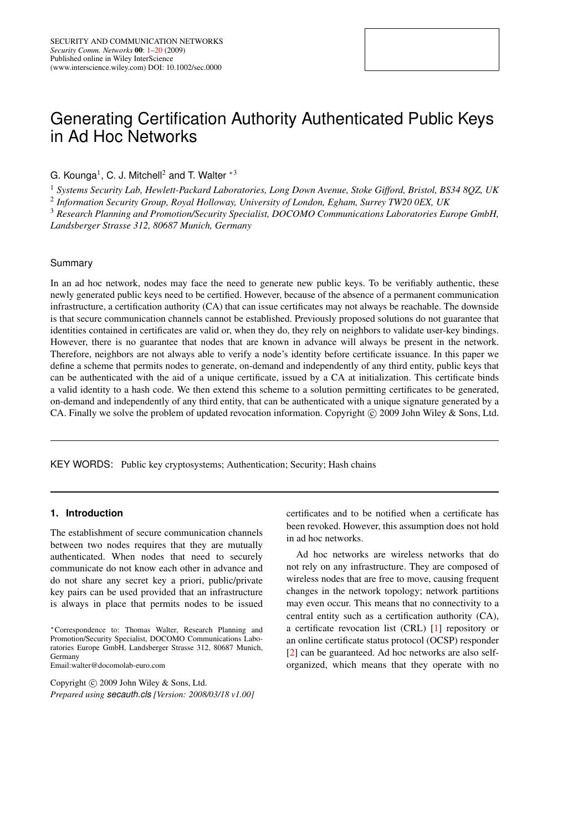# <span id="page-0-0"></span>Generating Certification Authority Authenticated Public Keys in Ad Hoc Networks

G. Kounga<sup>1</sup>, C. J. Mitchell<sup>2</sup> and T. Walter  $*3$ 

<sup>1</sup> *Systems Security Lab, Hewlett-Packard Laboratories, Long Down Avenue, Stoke Gifford, Bristol, BS34 8QZ, UK*

2 *Information Security Group, Royal Holloway, University of London, Egham, Surrey TW20 0EX, UK*

<sup>3</sup> *Research Planning and Promotion/Security Specialist, DOCOMO Communications Laboratories Europe GmbH, Landsberger Strasse 312, 80687 Munich, Germany*

## Summary

In an ad hoc network, nodes may face the need to generate new public keys. To be verifiably authentic, these newly generated public keys need to be certified. However, because of the absence of a permanent communication infrastructure, a certification authority (CA) that can issue certificates may not always be reachable. The downside is that secure communication channels cannot be established. Previously proposed solutions do not guarantee that identities contained in certificates are valid or, when they do, they rely on neighbors to validate user-key bindings. However, there is no guarantee that nodes that are known in advance will always be present in the network. Therefore, neighbors are not always able to verify a node's identity before certificate issuance. In this paper we define a scheme that permits nodes to generate, on-demand and independently of any third entity, public keys that can be authenticated with the aid of a unique certificate, issued by a CA at initialization. This certificate binds a valid identity to a hash code. We then extend this scheme to a solution permitting certificates to be generated, on-demand and independently of any third entity, that can be authenticated with a unique signature generated by a CA. Finally we solve the problem of updated revocation information. Copyright  $\odot$  2009 John Wiley & Sons, Ltd.

KEY WORDS: Public key cryptosystems; Authentication; Security; Hash chains

## **1. Introduction**

The establishment of secure communication channels between two nodes requires that they are mutually authenticated. When nodes that need to securely communicate do not know each other in advance and do not share any secret key a priori, public/private key pairs can be used provided that an infrastructure is always in place that permits nodes to be issued

Email:walter@docomolab-euro.com

Copyright  $\odot$  2009 John Wiley & Sons, Ltd. *Prepared using secauth.cls [Version: 2008/03/18 v1.00]* certificates and to be notified when a certificate has been revoked. However, this assumption does not hold in ad hoc networks.

Ad hoc networks are wireless networks that do not rely on any infrastructure. They are composed of wireless nodes that are free to move, causing frequent changes in the network topology; network partitions may even occur. This means that no connectivity to a central entity such as a certification authority (CA), a certificate revocation list (CRL) [\[1\]](#page-18-0) repository or an online certificate status protocol (OCSP) responder [\[2\]](#page-18-1) can be guaranteed. Ad hoc networks are also selforganized, which means that they operate with no

<sup>∗</sup>Correspondence to: Thomas Walter, Research Planning and Promotion/Security Specialist, DOCOMO Communications Laboratories Europe GmbH, Landsberger Strasse 312, 80687 Munich, Germany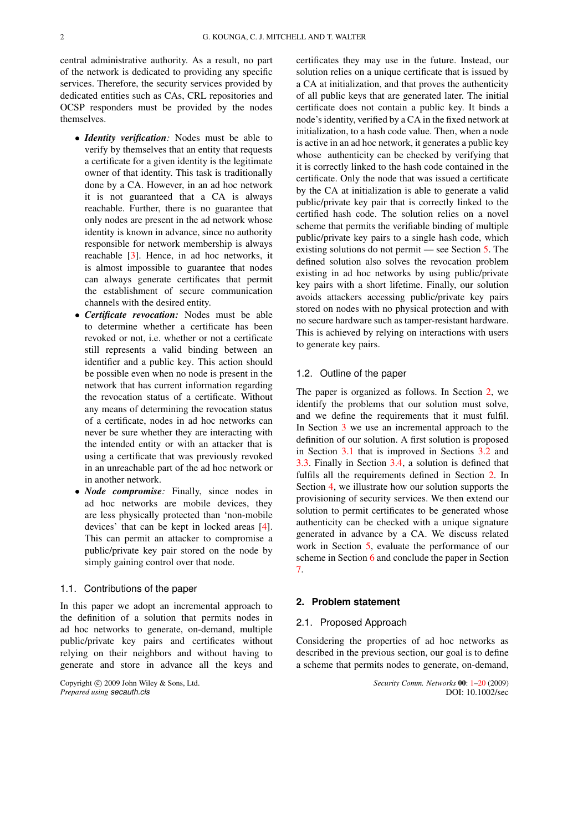central administrative authority. As a result, no part of the network is dedicated to providing any specific services. Therefore, the security services provided by dedicated entities such as CAs, CRL repositories and OCSP responders must be provided by the nodes themselves.

- ∙ *Identity verification:* Nodes must be able to verify by themselves that an entity that requests a certificate for a given identity is the legitimate owner of that identity. This task is traditionally done by a CA. However, in an ad hoc network it is not guaranteed that a CA is always reachable. Further, there is no guarantee that only nodes are present in the ad network whose identity is known in advance, since no authority responsible for network membership is always reachable [\[3\]](#page-18-2). Hence, in ad hoc networks, it is almost impossible to guarantee that nodes can always generate certificates that permit the establishment of secure communication channels with the desired entity.
- ∙ *Certificate revocation:* Nodes must be able to determine whether a certificate has been revoked or not, i.e. whether or not a certificate still represents a valid binding between an identifier and a public key. This action should be possible even when no node is present in the network that has current information regarding the revocation status of a certificate. Without any means of determining the revocation status of a certificate, nodes in ad hoc networks can never be sure whether they are interacting with the intended entity or with an attacker that is using a certificate that was previously revoked in an unreachable part of the ad hoc network or in another network.
- ∙ *Node compromise:* Finally, since nodes in ad hoc networks are mobile devices, they are less physically protected than 'non-mobile devices' that can be kept in locked areas [\[4\]](#page-18-3). This can permit an attacker to compromise a public/private key pair stored on the node by simply gaining control over that node.

## 1.1. Contributions of the paper

In this paper we adopt an incremental approach to the definition of a solution that permits nodes in ad hoc networks to generate, on-demand, multiple public/private key pairs and certificates without relying on their neighbors and without having to generate and store in advance all the keys and

Copyright  $\odot$  2009 John Wiley & Sons, Ltd. *Prepared using secauth.cls*

certificates they may use in the future. Instead, our solution relies on a unique certificate that is issued by a CA at initialization, and that proves the authenticity of all public keys that are generated later. The initial certificate does not contain a public key. It binds a node's identity, verified by a CA in the fixed network at initialization, to a hash code value. Then, when a node is active in an ad hoc network, it generates a public key whose authenticity can be checked by verifying that it is correctly linked to the hash code contained in the certificate. Only the node that was issued a certificate by the CA at initialization is able to generate a valid public/private key pair that is correctly linked to the certified hash code. The solution relies on a novel scheme that permits the verifiable binding of multiple public/private key pairs to a single hash code, which existing solutions do not permit — see Section [5.](#page-11-0) The defined solution also solves the revocation problem existing in ad hoc networks by using public/private key pairs with a short lifetime. Finally, our solution avoids attackers accessing public/private key pairs stored on nodes with no physical protection and with no secure hardware such as tamper-resistant hardware. This is achieved by relying on interactions with users to generate key pairs.

#### 1.2. Outline of the paper

The paper is organized as follows. In Section [2,](#page-1-0) we identify the problems that our solution must solve, and we define the requirements that it must fulfil. In Section [3](#page-2-0) we use an incremental approach to the definition of our solution. A first solution is proposed in Section [3.1](#page-3-0) that is improved in Sections [3.2](#page-4-0) and [3.3.](#page-4-1) Finally in Section [3.4,](#page-5-0) a solution is defined that fulfils all the requirements defined in Section [2.](#page-1-0) In Section [4,](#page-6-0) we illustrate how our solution supports the provisioning of security services. We then extend our solution to permit certificates to be generated whose authenticity can be checked with a unique signature generated in advance by a CA. We discuss related work in Section [5,](#page-11-0) evaluate the performance of our scheme in Section [6](#page-15-0) and conclude the paper in Section [7.](#page-17-0)

## <span id="page-1-0"></span>**2. Problem statement**

#### 2.1. Proposed Approach

Considering the properties of ad hoc networks as described in the previous section, our goal is to define a scheme that permits nodes to generate, on-demand,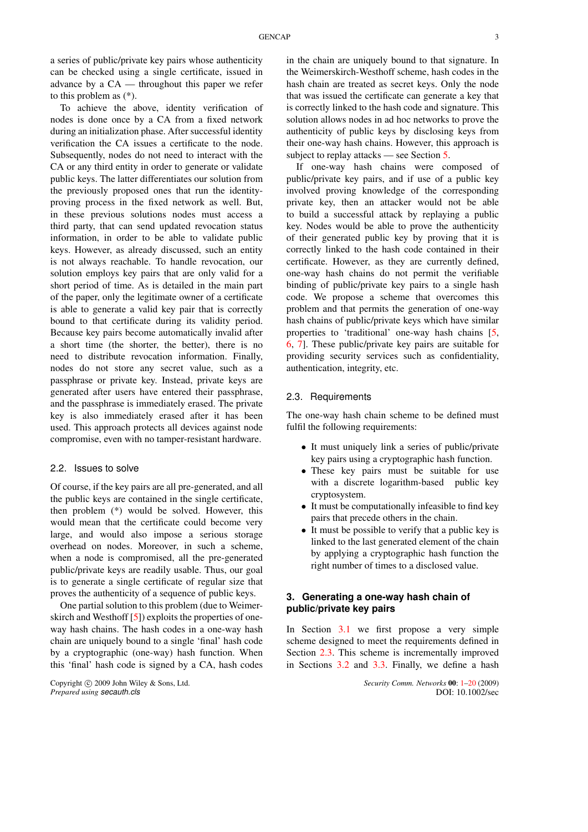a series of public/private key pairs whose authenticity can be checked using a single certificate, issued in advance by a CA — throughout this paper we refer to this problem as (\*).

To achieve the above, identity verification of nodes is done once by a CA from a fixed network during an initialization phase. After successful identity verification the CA issues a certificate to the node. Subsequently, nodes do not need to interact with the CA or any third entity in order to generate or validate public keys. The latter differentiates our solution from the previously proposed ones that run the identityproving process in the fixed network as well. But, in these previous solutions nodes must access a third party, that can send updated revocation status information, in order to be able to validate public keys. However, as already discussed, such an entity is not always reachable. To handle revocation, our solution employs key pairs that are only valid for a short period of time. As is detailed in the main part of the paper, only the legitimate owner of a certificate is able to generate a valid key pair that is correctly bound to that certificate during its validity period. Because key pairs become automatically invalid after a short time (the shorter, the better), there is no need to distribute revocation information. Finally, nodes do not store any secret value, such as a passphrase or private key. Instead, private keys are generated after users have entered their passphrase, and the passphrase is immediately erased. The private key is also immediately erased after it has been used. This approach protects all devices against node compromise, even with no tamper-resistant hardware.

#### 2.2. Issues to solve

Of course, if the key pairs are all pre-generated, and all the public keys are contained in the single certificate, then problem (\*) would be solved. However, this would mean that the certificate could become very large, and would also impose a serious storage overhead on nodes. Moreover, in such a scheme, when a node is compromised, all the pre-generated public/private keys are readily usable. Thus, our goal is to generate a single certificate of regular size that proves the authenticity of a sequence of public keys.

One partial solution to this problem (due to Weimerskirch and Westhoff [\[5\]](#page-18-4)) exploits the properties of oneway hash chains. The hash codes in a one-way hash chain are uniquely bound to a single 'final' hash code by a cryptographic (one-way) hash function. When this 'final' hash code is signed by a CA, hash codes in the chain are uniquely bound to that signature. In the Weimerskirch-Westhoff scheme, hash codes in the hash chain are treated as secret keys. Only the node that was issued the certificate can generate a key that is correctly linked to the hash code and signature. This solution allows nodes in ad hoc networks to prove the authenticity of public keys by disclosing keys from their one-way hash chains. However, this approach is subject to replay attacks — see Section [5.](#page-11-0)

If one-way hash chains were composed of public/private key pairs, and if use of a public key involved proving knowledge of the corresponding private key, then an attacker would not be able to build a successful attack by replaying a public key. Nodes would be able to prove the authenticity of their generated public key by proving that it is correctly linked to the hash code contained in their certificate. However, as they are currently defined, one-way hash chains do not permit the verifiable binding of public/private key pairs to a single hash code. We propose a scheme that overcomes this problem and that permits the generation of one-way hash chains of public/private keys which have similar properties to 'traditional' one-way hash chains [\[5,](#page-18-4) [6,](#page-18-5) [7\]](#page-18-6). These public/private key pairs are suitable for providing security services such as confidentiality, authentication, integrity, etc.

## <span id="page-2-1"></span>2.3. Requirements

The one-way hash chain scheme to be defined must fulfil the following requirements:

- ∙ It must uniquely link a series of public/private key pairs using a cryptographic hash function.
- ∙ These key pairs must be suitable for use with a discrete logarithm-based public key cryptosystem.
- ∙ It must be computationally infeasible to find key pairs that precede others in the chain.
- ∙ It must be possible to verify that a public key is linked to the last generated element of the chain by applying a cryptographic hash function the right number of times to a disclosed value.

## <span id="page-2-0"></span>**3. Generating a one-way hash chain of public/private key pairs**

In Section [3.1](#page-3-0) we first propose a very simple scheme designed to meet the requirements defined in Section [2.3.](#page-2-1) This scheme is incrementally improved in Sections [3.2](#page-4-0) and [3.3.](#page-4-1) Finally, we define a hash

Copyright  $\odot$  2009 John Wiley & Sons, Ltd. *Prepared using secauth.cls*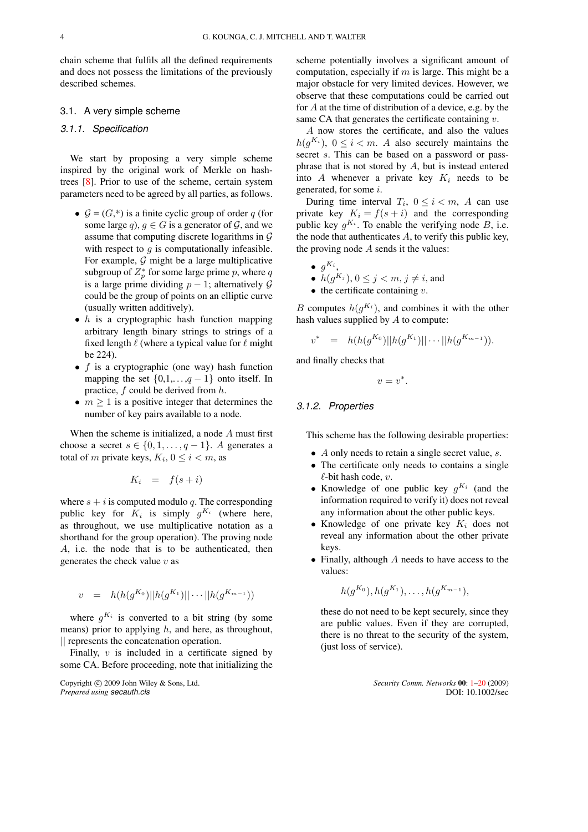chain scheme that fulfils all the defined requirements and does not possess the limitations of the previously described schemes.

#### <span id="page-3-0"></span>3.1. A very simple scheme

#### *3.1.1. Specification*

We start by proposing a very simple scheme inspired by the original work of Merkle on hashtrees [\[8\]](#page-18-7). Prior to use of the scheme, certain system parameters need to be agreed by all parties, as follows.

- $G = (G,^*)$  is a finite cyclic group of order q (for some large q,  $q \in G$  is a generator of  $\mathcal{G}$ , and we assume that computing discrete logarithms in  $\mathcal G$ with respect to  $q$  is computationally infeasible. For example,  $G$  might be a large multiplicative subgroup of  $Z_p^*$  for some large prime p, where q is a large prime dividing  $p - 1$ ; alternatively  $\mathcal G$ could be the group of points on an elliptic curve (usually written additively).
- *h* is a cryptographic hash function mapping arbitrary length binary strings to strings of a fixed length  $\ell$  (where a typical value for  $\ell$  might be 224).
- f is a cryptographic (one way) hash function mapping the set  $\{0,1,\ldots,q-1\}$  onto itself. In practice,  $f$  could be derived from  $h$ .
- $m \geq 1$  is a positive integer that determines the number of key pairs available to a node.

When the scheme is initialized, a node  $A$  must first choose a secret  $s \in \{0, 1, \ldots, q-1\}$ . A generates a total of m private keys,  $K_i$ ,  $0 \le i < m$ , as

<span id="page-3-1"></span>
$$
K_i = f(s+i)
$$

where  $s + i$  is computed modulo q. The corresponding public key for  $K_i$  is simply  $g^{K_i}$  (where here, as throughout, we use multiplicative notation as a shorthand for the group operation). The proving node A, i.e. the node that is to be authenticated, then generates the check value  $v$  as

$$
v = h(h(g^{K_0})||h(g^{K_1})|| \cdots ||h(g^{K_{m-1}}))
$$

where  $g^{K_i}$  is converted to a bit string (by some means) prior to applying  $h$ , and here, as throughout, ∣∣ represents the concatenation operation.

Finally,  $v$  is included in a certificate signed by some CA. Before proceeding, note that initializing the scheme potentially involves a significant amount of computation, especially if  $m$  is large. This might be a major obstacle for very limited devices. However, we observe that these computations could be carried out for  $A$  at the time of distribution of a device, e.g. by the same CA that generates the certificate containing  $v$ .

A now stores the certificate, and also the values  $h(g^{K_i})$ ,  $0 \leq i < m$ . A also securely maintains the secret s. This can be based on a password or passphrase that is not stored by  $A$ , but is instead entered into A whenever a private key  $K_i$  needs to be generated, for some *i*.

During time interval  $T_i$ ,  $0 \le i \le m$ , A can use private key  $K_i = f(s + i)$  and the corresponding public key  $g^{K_i}$ . To enable the verifying node B, i.e. the node that authenticates  $A$ , to verify this public key, the proving node  $A$  sends it the values:

- $\bullet$   $g^{K_i},$ •  $h(g^{K_j}), 0 \leq j < m, j \neq i$ , and
- $\bullet$  the certificate containing  $v$ .

B computes  $h(g^{K_i})$ , and combines it with the other hash values supplied by  $A$  to compute:

$$
v^* = h(h(g^{K_0})||h(g^{K_1})||\cdots||h(g^{K_{m-1}})).
$$

 $v = v^*$ .

and finally checks that

## *3.1.2. Properties*

This scheme has the following desirable properties:

- A only needs to retain a single secret value, s.
- ∙ The certificate only needs to contains a single  $\ell$ -bit hash code,  $v$ .
- Knowledge of one public key  $g^{K_i}$  (and the information required to verify it) does not reveal any information about the other public keys.
- Knowledge of one private key  $K_i$  does not reveal any information about the other private keys.
- Finally, although  $A$  needs to have access to the values:

$$
h(g^{K_0}), h(g^{K_1}), \ldots, h(g^{K_{m-1}}),
$$

these do not need to be kept securely, since they are public values. Even if they are corrupted, there is no threat to the security of the system, (just loss of service).

Copyright  $\circled{c}$  2009 John Wiley & Sons, Ltd. *Prepared using secauth.cls*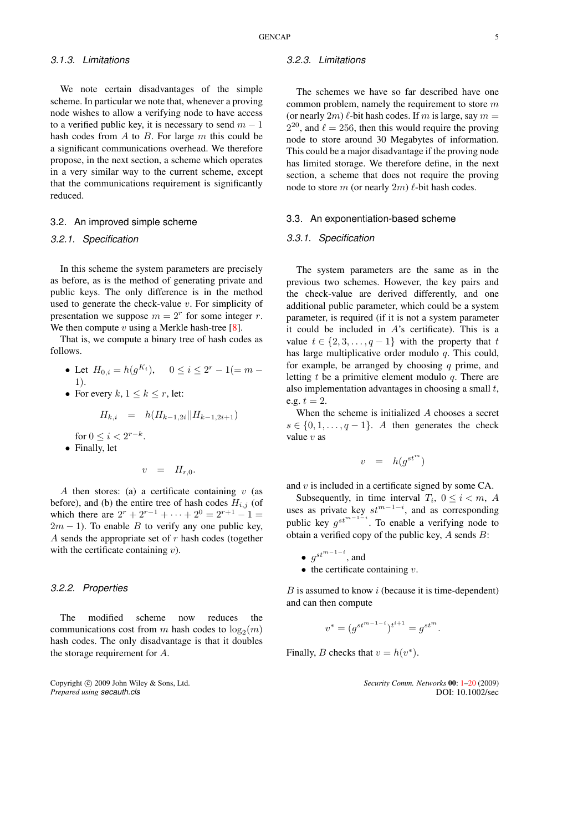#### *3.1.3. Limitations*

We note certain disadvantages of the simple scheme. In particular we note that, whenever a proving node wishes to allow a verifying node to have access to a verified public key, it is necessary to send  $m - 1$ hash codes from  $A$  to  $B$ . For large  $m$  this could be a significant communications overhead. We therefore propose, in the next section, a scheme which operates in a very similar way to the current scheme, except that the communications requirement is significantly reduced.

## <span id="page-4-0"></span>3.2. An improved simple scheme

#### *3.2.1. Specification*

In this scheme the system parameters are precisely as before, as is the method of generating private and public keys. The only difference is in the method used to generate the check-value  $v$ . For simplicity of presentation we suppose  $m = 2^r$  for some integer r. We then compute  $v$  using a Merkle hash-tree [\[8\]](#page-18-7).

That is, we compute a binary tree of hash codes as follows.

- Let  $H_{0,i} = h(g^{K_i}), \quad 0 \leq i \leq 2^r 1 (= m 1)$ 1).
- For every  $k, 1 \leq k \leq r$ , let:

$$
H_{k,i} = h(H_{k-1,2i}||H_{k-1,2i+1})
$$
  
for  $0 \le i < 2^{r-k}$ .  
• Finally, let

$$
v = H_{r,0}.
$$

A then stores: (a) a certificate containing  $v$  (as before), and (b) the entire tree of hash codes  $H_{i,j}$  (of which there are  $2^{r} + 2^{r-1} + \cdots + 2^{0} = 2^{r+1} - 1 =$  $2m - 1$ ). To enable B to verify any one public key, A sends the appropriate set of  $r$  hash codes (together with the certificate containing  $v$ ).

#### *3.2.2. Properties*

 $for$ 

The modified scheme now reduces the communications cost from  $m$  hash codes to  $\log_2(m)$ hash codes. The only disadvantage is that it doubles the storage requirement for  $A$ .

Copyright  $\odot$  2009 John Wiley & Sons, Ltd. *Prepared using secauth.cls*

#### *3.2.3. Limitations*

The schemes we have so far described have one common problem, namely the requirement to store  $m$ (or nearly  $2m$ )  $\ell$ -bit hash codes. If m is large, say  $m =$  $2^{20}$ , and  $\ell = 256$ , then this would require the proving node to store around 30 Megabytes of information. This could be a major disadvantage if the proving node has limited storage. We therefore define, in the next section, a scheme that does not require the proving node to store  $m$  (or nearly  $2m$ )  $\ell$ -bit hash codes.

#### <span id="page-4-1"></span>3.3. An exponentiation-based scheme

#### *3.3.1. Specification*

The system parameters are the same as in the previous two schemes. However, the key pairs and the check-value are derived differently, and one additional public parameter, which could be a system parameter, is required (if it is not a system parameter it could be included in  $A$ 's certificate). This is a value  $t \in \{2, 3, \ldots, q-1\}$  with the property that  $t$ has large multiplicative order modulo  $q$ . This could, for example, be arranged by choosing  $q$  prime, and letting  $t$  be a primitive element modulo  $q$ . There are also implementation advantages in choosing a small  $t$ , e.g.  $t = 2$ .

When the scheme is initialized  $A$  chooses a secret  $s \in \{0, 1, \ldots, q-1\}$ . A then generates the check value  $v$  as

$$
v = h(g^{st^m})
$$

and  $v$  is included in a certificate signed by some CA.

Subsequently, in time interval  $T_i$ ,  $0 \le i \le m$ , A uses as private key  $st^{m-1-i}$ , and as corresponding public key  $g^{st^{m-1-i}}$ . To enable a verifying node to obtain a verified copy of the public key,  $A$  sends  $B$ :

\n- $$
g^{st^{m-1-i}}
$$
, and
\n- the certificate containing  $v$ .
\n

 $B$  is assumed to know  $i$  (because it is time-dependent) and can then compute

$$
v^* = (g^{st^{m-1-i}})^{t^{i+1}} = g^{st^m}.
$$

Finally, *B* checks that  $v = h(v^*)$ .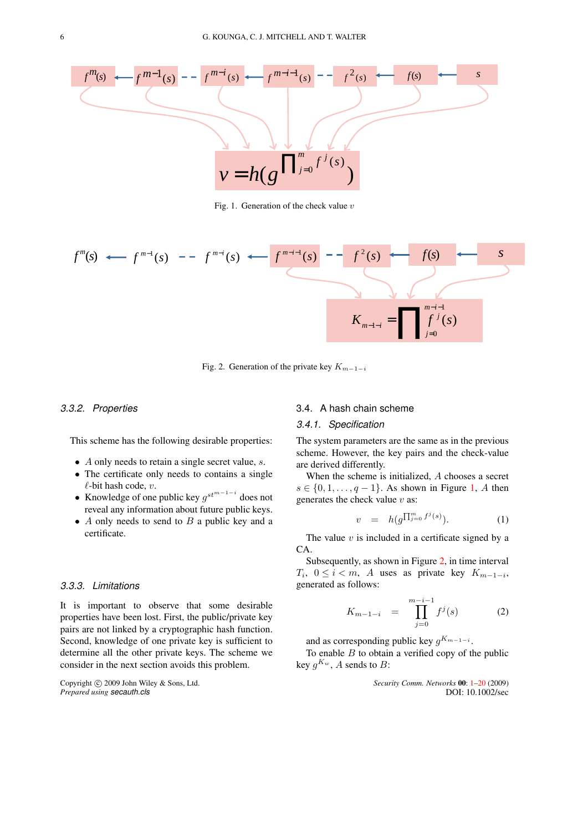<span id="page-5-1"></span>

Fig. 1. Generation of the check value  $v$ 

<span id="page-5-2"></span>

Fig. 2. Generation of the private key  $K_{m-1-i}$ 

## *3.3.2. Properties*

This scheme has the following desirable properties:

- A only needs to retain a single secret value, s.
- ∙ The certificate only needs to contains a single  $\ell$ -bit hash code,  $v$ .
- Knowledge of one public key  $g^{st^{m-1-i}}$  does not reveal any information about future public keys.
- $\bullet$  *A* only needs to send to *B* a public key and a certificate.

#### *3.3.3. Limitations*

It is important to observe that some desirable properties have been lost. First, the public/private key pairs are not linked by a cryptographic hash function. Second, knowledge of one private key is sufficient to determine all the other private keys. The scheme we consider in the next section avoids this problem.

#### <span id="page-5-0"></span>3.4. A hash chain scheme

#### *3.4.1. Specification*

The system parameters are the same as in the previous scheme. However, the key pairs and the check-value are derived differently.

When the scheme is initialized,  $A$  chooses a secret  $s \in \{0, 1, \ldots, q-1\}$  $s \in \{0, 1, \ldots, q-1\}$  $s \in \{0, 1, \ldots, q-1\}$ . As shown in Figure 1, A then generates the check value  $v$  as:

$$
v = h(g^{\prod_{j=0}^{m} f^{j}(s)}).
$$
 (1)

The value  $v$  is included in a certificate signed by a CA.

Subsequently, as shown in Figure [2,](#page-5-2) in time interval  $T_i$ ,  $0 \le i < m$ , A uses as private key  $K_{m-1-i}$ , generated as follows:

<span id="page-5-3"></span>
$$
K_{m-1-i} = \prod_{j=0}^{m-i-1} f^j(s) \tag{2}
$$

and as corresponding public key  $g^{K_{m-1-i}}$ .

To enable  $B$  to obtain a verified copy of the public key  $g^{K_w}$ , A sends to B:

*Security Comm. Networks* 00: [1](#page-0-0)[–20](#page-18-0) (2009) DOI: 10.1002/sec

Copyright  $\odot$  2009 John Wiley & Sons, Ltd. *Prepared using secauth.cls*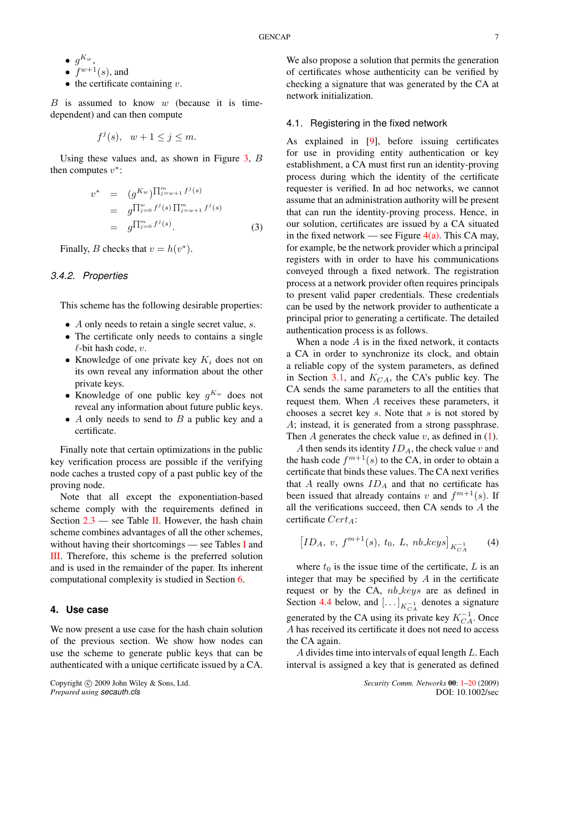- $\bullet$   $g^{K_w},$
- $f^{w+1}(s)$ , and
- $\bullet$  the certificate containing  $v$ .

 $B$  is assumed to know  $w$  (because it is timedependent) and can then compute

<span id="page-6-1"></span>
$$
f^j(s), \ \ w+1 \le j \le m.
$$

Using these values and, as shown in Figure  $3, B$  $3, B$ then computes  $v^*$ :

$$
v^* = (g^{K_w})\Pi_{j=w+1}^m f^j(s)
$$
  
=  $g\Pi_{j=0}^w f^j(s)\Pi_{j=w+1}^m f^j(s)$   
=  $g\Pi_{j=0}^m f^j(s)$ . (3)

Finally, *B* checks that  $v = h(v^*)$ .

#### *3.4.2. Properties*

This scheme has the following desirable properties:

- $\bullet$  *A* only needs to retain a single secret value, *s*.
- ∙ The certificate only needs to contains a single  $\ell$ -bit hash code,  $v$ .
- Knowledge of one private key  $K_i$  does not on its own reveal any information about the other private keys.
- Knowledge of one public key  $g^{K_w}$  does not reveal any information about future public keys.
- $A$  only needs to send to  $B$  a public key and a certificate.

Finally note that certain optimizations in the public key verification process are possible if the verifying node caches a trusted copy of a past public key of the proving node.

Note that all except the exponentiation-based scheme comply with the requirements defined in Section  $2.3$  — see Table [II.](#page-20-0) However, the hash chain scheme combines advantages of all the other schemes, without having their shortcomings — see Tables [I](#page-20-1) and [III.](#page-21-0) Therefore, this scheme is the preferred solution and is used in the remainder of the paper. Its inherent computational complexity is studied in Section [6.](#page-15-0)

### <span id="page-6-0"></span>**4. Use case**

We now present a use case for the hash chain solution of the previous section. We show how nodes can use the scheme to generate public keys that can be authenticated with a unique certificate issued by a CA.

We also propose a solution that permits the generation of certificates whose authenticity can be verified by checking a signature that was generated by the CA at network initialization.

## 4.1. Registering in the fixed network

As explained in [\[9\]](#page-18-8), before issuing certificates for use in providing entity authentication or key establishment, a CA must first run an identity-proving process during which the identity of the certificate requester is verified. In ad hoc networks, we cannot assume that an administration authority will be present that can run the identity-proving process. Hence, in our solution, certificates are issued by a CA situated in the fixed network — see Figure  $4(a)$ . This CA may, for example, be the network provider which a principal registers with in order to have his communications conveyed through a fixed network. The registration process at a network provider often requires principals to present valid paper credentials. These credentials can be used by the network provider to authenticate a principal prior to generating a certificate. The detailed authentication process is as follows.

When a node  $A$  is in the fixed network, it contacts a CA in order to synchronize its clock, and obtain a reliable copy of the system parameters, as defined in Section [3.1,](#page-3-0) and  $K_{CA}$ , the CA's public key. The CA sends the same parameters to all the entities that request them. When A receives these parameters, it chooses a secret key  $s$ . Note that  $s$  is not stored by A; instead, it is generated from a strong passphrase. Then  $A$  generates the check value  $v$ , as defined in [\(1\)](#page-3-1).

A then sends its identity  $ID_A$ , the check value  $v$  and the hash code  $f^{m+1}(s)$  to the CA, in order to obtain a certificate that binds these values. The CA next verifies that  $A$  really owns  $ID_A$  and that no certificate has been issued that already contains v and  $f^{m+1}(s)$ . If all the verifications succeed, then CA sends to  $A$  the certificate  $Cert_A$ :

$$
[ID_A, v, f^{m+1}(s), t_0, L, nb\_keys]_{K_{CA}^{-1}}
$$
 (4)

where  $t_0$  is the issue time of the certificate,  $L$  is an integer that may be specified by  $A$  in the certificate request or by the CA,  $nb\_keys$  are as defined in Section [4.4](#page-9-0) below, and  $\left[\dots\right]_{K_{CA}^{-1}}$  denotes a signature generated by the CA using its private key  $K_{CA}^{-1}$ . Once A has received its certificate it does not need to access the CA again.

 $A$  divides time into intervals of equal length  $L$ . Each interval is assigned a key that is generated as defined

Copyright  $\odot$  2009 John Wiley & Sons, Ltd. *Prepared using secauth.cls*

*Security Comm. Networks* 00: [1](#page-0-0)[–20](#page-18-0) (2009) DOI: 10.1002/sec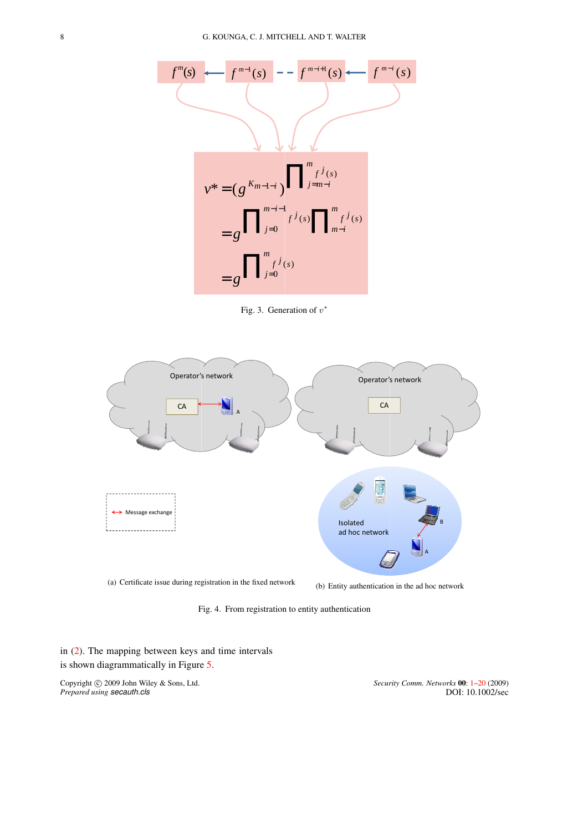<span id="page-7-0"></span>

Fig. 3. Generation of  $v^*$ 

<span id="page-7-1"></span>

Fig. 4. From registration to entity authentication

in [\(2\)](#page-5-3). The mapping between keys and time intervals is shown diagrammatically in Figure [5.](#page-8-0)

Copyright  $\odot$  2009 John Wiley & Sons, Ltd. *Prepared using secauth.cls*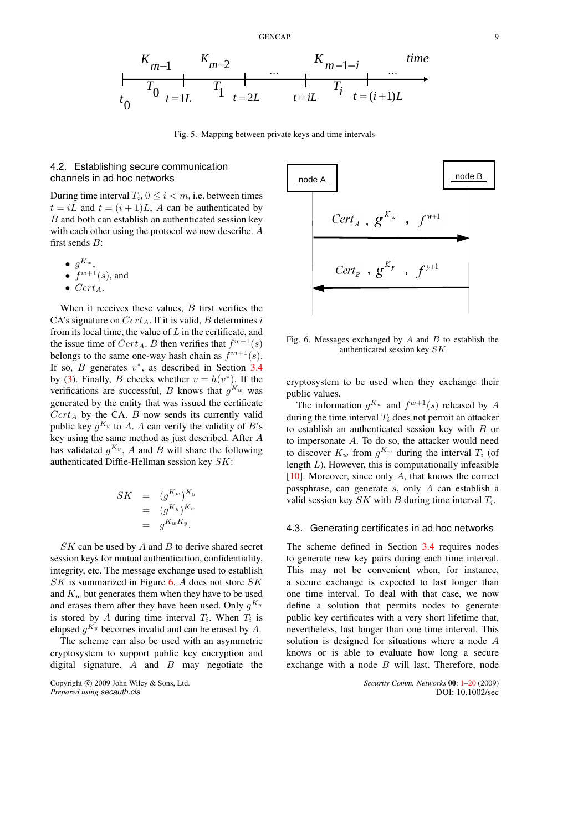GENCAP 9

<span id="page-8-0"></span>
$$
K_{m-1}
$$
  
\n
$$
K_{m-2}
$$
  
\n
$$
K_{m-1-i}
$$
  
\n
$$
T_0
$$
  
\n
$$
T_1
$$
  
\n
$$
t = 2L
$$
  
\n
$$
t = iL
$$
  
\n
$$
T_i
$$
  
\n
$$
t = (i+1)L
$$
  
\n
$$
t = (i+1)L
$$

Fig. 5. Mapping between private keys and time intervals

## 4.2. Establishing secure communication channels in ad hoc networks

During time interval  $T_i$ ,  $0 \le i < m$ , i.e. between times  $t = iL$  and  $t = (i + 1)L$ , A can be authenticated by  $B$  and both can establish an authenticated session key with each other using the protocol we now describe.  $A$ first sends  $B$ :

$$
\bullet \ \ g^{K_w},
$$

• 
$$
f^{w+1}(s)
$$
, and

 $\bullet$  Cert<sub>A</sub>.

When it receives these values,  $B$  first verifies the CA's signature on  $Cert_A$ . If it is valid, B determines i from its local time, the value of  $L$  in the certificate, and the issue time of  $Cert_A$ . B then verifies that  $f^{w+1}(s)$ belongs to the same one-way hash chain as  $f^{m+1}(s)$ . If so,  $B$  generates  $v^*$ , as described in Section [3.4](#page-5-0) by [\(3\)](#page-6-1). Finally, B checks whether  $v = h(v^*)$ . If the verifications are successful, B knows that  $g^{K_w}$  was generated by the entity that was issued the certificate  $Cert_A$  by the CA.  $B$  now sends its currently valid public key  $g^{K_y}$  to A. A can verify the validity of B's key using the same method as just described. After  $A$ has validated  $g^{K_y}$ , A and B will share the following authenticated Diffie-Hellman session key  $SK$ :

$$
SK = (g^{K_w})^{K_y}
$$
  
= 
$$
(g^{K_y})^{K_w}
$$
  
= 
$$
g^{K_w K_y}.
$$

 $SK$  can be used by A and B to derive shared secret session keys for mutual authentication, confidentiality, integrity, etc. The message exchange used to establish  $SK$  is summarized in Figure [6.](#page-8-1) A does not store  $SK$ and  $K_w$  but generates them when they have to be used and erases them after they have been used. Only  $g^{K_y}$ is stored by A during time interval  $T_i$ . When  $T_i$  is elapsed  $g^{K_y}$  becomes invalid and can be erased by A.

The scheme can also be used with an asymmetric cryptosystem to support public key encryption and digital signature.  $A$  and  $B$  may negotiate the

<span id="page-8-1"></span>node A node B  $Cert_B$ ,  $g^{K_y}$  $\text{Cert}_{A}$ ,  $g^{K_w}$ 

Fig. 6. Messages exchanged by  $A$  and  $B$  to establish the authenticated session key  $SK$ 

cryptosystem to be used when they exchange their public values.

The information  $g^{K_w}$  and  $f^{w+1}(s)$  released by A during the time interval  $T_i$  does not permit an attacker to establish an authenticated session key with  $B$  or to impersonate  $A$ . To do so, the attacker would need to discover  $K_w$  from  $g^{K_w}$  during the interval  $T_i$  (of length  $L$ ). However, this is computationally infeasible [\[10\]](#page-18-9). Moreover, since only  $A$ , that knows the correct passphrase, can generate  $s$ , only  $\vec{A}$  can establish a valid session key  $SK$  with  $B$  during time interval  $T_i$ .

#### <span id="page-8-2"></span>4.3. Generating certificates in ad hoc networks

The scheme defined in Section [3.4](#page-5-0) requires nodes to generate new key pairs during each time interval. This may not be convenient when, for instance, a secure exchange is expected to last longer than one time interval. To deal with that case, we now define a solution that permits nodes to generate public key certificates with a very short lifetime that, nevertheless, last longer than one time interval. This solution is designed for situations where a node  $A$ knows or is able to evaluate how long a secure exchange with a node  $B$  will last. Therefore, node

Copyright  $\odot$  2009 John Wiley & Sons, Ltd. *Prepared using secauth.cls*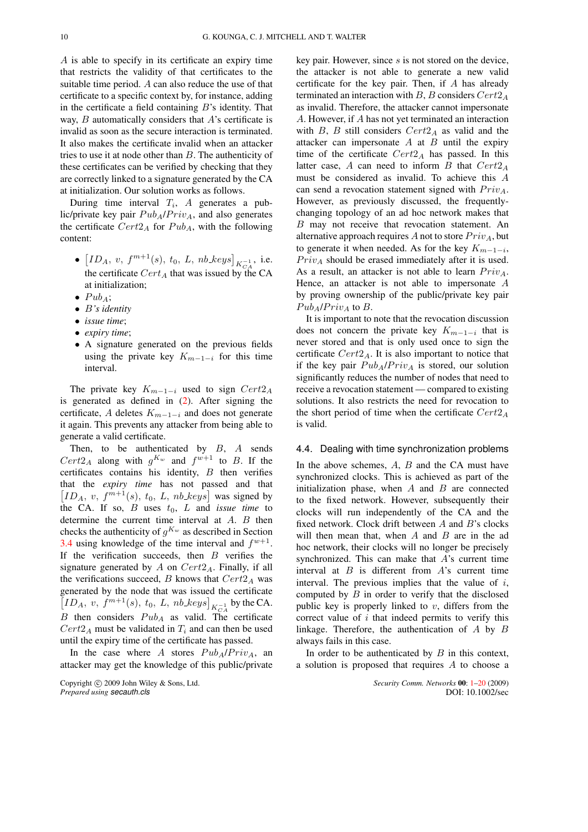A is able to specify in its certificate an expiry time that restricts the validity of that certificates to the suitable time period.  $A$  can also reduce the use of that certificate to a specific context by, for instance, adding in the certificate a field containing  $B$ 's identity. That way,  $B$  automatically considers that  $A$ 's certificate is invalid as soon as the secure interaction is terminated. It also makes the certificate invalid when an attacker tries to use it at node other than  $B$ . The authenticity of these certificates can be verified by checking that they are correctly linked to a signature generated by the CA at initialization. Our solution works as follows.

During time interval  $T_i$ , A generates a public/private key pair  $Pub<sub>A</sub>/Priv<sub>A</sub>$ , and also generates the certificate  $Cert2_A$  for  $Pub_A$ , with the following content:

- $[ID_A, v, f^{m+1}(s), t_0, L, nb\_keys]_{K^{-1}_{C^A}}$ , i.e. the certificate  $Cert_A$  that was issued by the CA at initialization;
- $\bullet$   $Pub_{A};$
- ∙ 𝐵*'s identity*
- ∙ *issue time*;
- ∙ *expiry time*;
- ∙ A signature generated on the previous fields using the private key  $K_{m-1-i}$  for this time interval.

The private key  $K_{m-1-i}$  used to sign  $Cert2_A$ is generated as defined in [\(2\)](#page-5-3). After signing the certificate, A deletes  $K_{m-1-i}$  and does not generate it again. This prevents any attacker from being able to generate a valid certificate.

Then, to be authenticated by  $B$ ,  $A$  sends  $Cert2_A$  along with  $g^{K_w}$  and  $f^{w+1}$  to B. If the certificates contains his identity,  $B$  then verifies that the *expiry time* has not passed and that  $[ID_A, v, f^{m+1}(s), t_0, L, nb\_keys]$  was signed by the CA. If so,  $B$  uses  $t_0$ ,  $L$  and *issue time* to determine the current time interval at  $A$ .  $B$  then checks the authenticity of  $g^{K_w}$  as described in Section [3.4](#page-5-0) using knowledge of the time interval and  $f^{w+1}$ . If the verification succeeds, then  $B$  verifies the signature generated by  $A$  on  $Cert2_A$ . Finally, if all the verifications succeed,  $B$  knows that  $Cert2_A$  was generated by the node that was issued the certificate [ID<sub>A</sub>, v,  $f^{m+1}(s)$ ,  $t_0$ , L,  $nb\text{.}keys$ ]  $_{K_{CA}^{-1}}$  by the CA. B then considers  $Pub<sub>A</sub>$  as valid. The certificate  $Cert2_A$  must be validated in  $T_i$  and can then be used until the expiry time of the certificate has passed.

In the case where A stores  $Pub<sub>A</sub>/Priv<sub>A</sub>$ , an attacker may get the knowledge of this public/private key pair. However, since  $s$  is not stored on the device, the attacker is not able to generate a new valid certificate for the key pair. Then, if  $A$  has already terminated an interaction with B, B considers  $Cert2_A$ as invalid. Therefore, the attacker cannot impersonate A. However, if A has not yet terminated an interaction with  $B$ ,  $B$  still considers  $Cert2_A$  as valid and the attacker can impersonate  $A$  at  $B$  until the expiry time of the certificate  $Cert2_A$  has passed. In this latter case, A can need to inform B that  $Cert2_A$ must be considered as invalid. To achieve this  $A$ can send a revocation statement signed with  $Priv_A$ . However, as previously discussed, the frequentlychanging topology of an ad hoc network makes that  $B$  may not receive that revocation statement. An alternative approach requires A not to store  $Priv_A$ , but to generate it when needed. As for the key  $K_{m-1-i}$ ,  $Priv_A$  should be erased immediately after it is used. As a result, an attacker is not able to learn  $Priv_A$ . Hence, an attacker is not able to impersonate  $A$ by proving ownership of the public/private key pair  $Pub<sub>A</sub>/Priv<sub>A</sub>$  to  $B$ .

It is important to note that the revocation discussion does not concern the private key  $K_{m-1-i}$  that is never stored and that is only used once to sign the certificate  $Cert2_A$ . It is also important to notice that if the key pair  $Pub<sub>A</sub>/Priv<sub>A</sub>$  is stored, our solution significantly reduces the number of nodes that need to receive a revocation statement — compared to existing solutions. It also restricts the need for revocation to the short period of time when the certificate  $Cert2_A$ is valid.

#### <span id="page-9-0"></span>4.4. Dealing with time synchronization problems

In the above schemes,  $A$ ,  $B$  and the CA must have synchronized clocks. This is achieved as part of the initialization phase, when  $A$  and  $B$  are connected to the fixed network. However, subsequently their clocks will run independently of the CA and the fixed network. Clock drift between  $A$  and  $B$ 's clocks will then mean that, when  $A$  and  $B$  are in the ad hoc network, their clocks will no longer be precisely synchronized. This can make that  $A$ 's current time interval at  $B$  is different from  $A$ 's current time interval. The previous implies that the value of  $i$ , computed by  $B$  in order to verify that the disclosed public key is properly linked to  $v$ , differs from the correct value of  $i$  that indeed permits to verify this linkage. Therefore, the authentication of  $A$  by  $B$ always fails in this case.

In order to be authenticated by  $B$  in this context, a solution is proposed that requires  $A$  to choose a

Copyright  $\odot$  2009 John Wiley & Sons, Ltd. *Prepared using secauth.cls*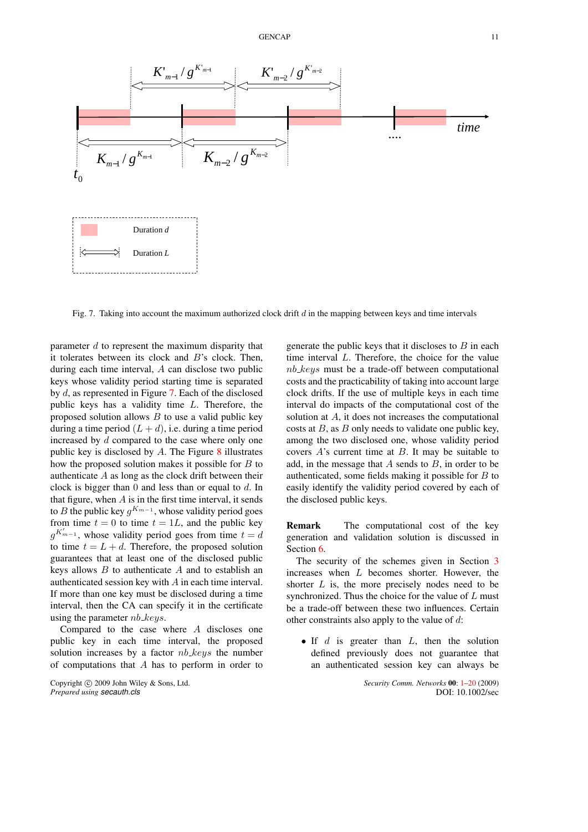<span id="page-10-0"></span>

Fig. 7. Taking into account the maximum authorized clock drift d in the mapping between keys and time intervals

parameter  $d$  to represent the maximum disparity that it tolerates between its clock and  $B$ 's clock. Then, during each time interval,  $A$  can disclose two public keys whose validity period starting time is separated by  $d$ , as represented in Figure [7.](#page-10-0) Each of the disclosed public keys has a validity time  $L$ . Therefore, the proposed solution allows  $B$  to use a valid public key during a time period  $(L + d)$ , i.e. during a time period increased by  $d$  compared to the case where only one public key is disclosed by  $A$ . The Figure [8](#page-11-1) illustrates how the proposed solution makes it possible for  $B$  to authenticate  $A$  as long as the clock drift between their clock is bigger than  $\theta$  and less than or equal to  $d$ . In that figure, when  $A$  is in the first time interval, it sends to *B* the public key  $g^{K_{m-1}}$ , whose validity period goes from time  $t = 0$  to time  $t = 1L$ , and the public key  $g^{K'_{m-1}}$ , whose validity period goes from time  $t = d$ to time  $t = L + d$ . Therefore, the proposed solution guarantees that at least one of the disclosed public keys allows  $B$  to authenticate  $A$  and to establish an authenticated session key with  $A$  in each time interval. If more than one key must be disclosed during a time interval, then the CA can specify it in the certificate using the parameter  $nb\_keys$ .

Compared to the case where  $A$  discloses one public key in each time interval, the proposed solution increases by a factor  $nb\_keys$  the number of computations that  $A$  has to perform in order to generate the public keys that it discloses to  $B$  in each time interval  $L$ . Therefore, the choice for the value  $nb\_keys$  must be a trade-off between computational costs and the practicability of taking into account large clock drifts. If the use of multiple keys in each time interval do impacts of the computational cost of the solution at  $A$ , it does not increases the computational costs at  $B$ , as  $B$  only needs to validate one public key, among the two disclosed one, whose validity period covers  $A$ 's current time at  $B$ . It may be suitable to add, in the message that  $A$  sends to  $B$ , in order to be authenticated, some fields making it possible for  $B$  to easily identify the validity period covered by each of the disclosed public keys.

Remark The computational cost of the key generation and validation solution is discussed in Section [6.](#page-15-0)

The security of the schemes given in Section [3](#page-2-0) increases when  $L$  becomes shorter. However, the shorter  $L$  is, the more precisely nodes need to be synchronized. Thus the choice for the value of  $L$  must be a trade-off between these two influences. Certain other constraints also apply to the value of  $d$ :

• If  $d$  is greater than  $L$ , then the solution defined previously does not guarantee that an authenticated session key can always be

Copyright  $\odot$  2009 John Wiley & Sons, Ltd. *Prepared using secauth.cls*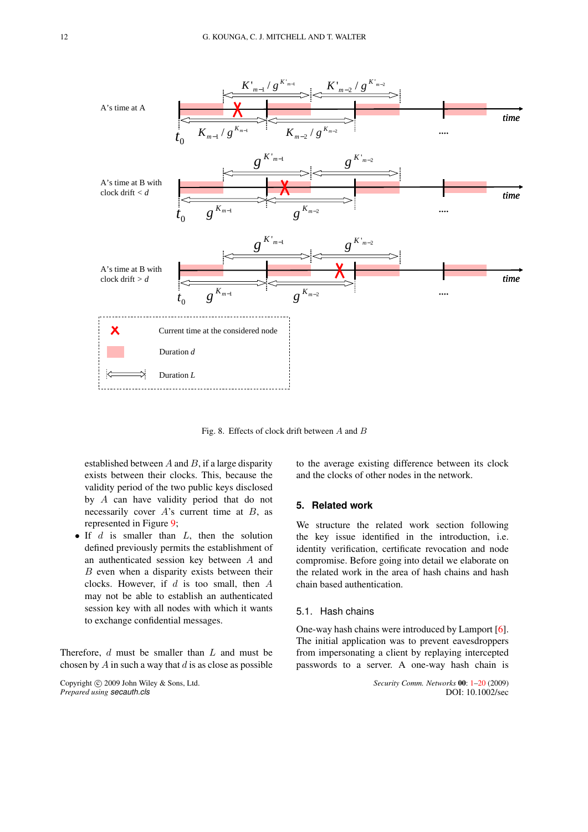<span id="page-11-1"></span>

Fig. 8. Effects of clock drift between  $A$  and  $B$ 

established between  $A$  and  $B$ , if a large disparity exists between their clocks. This, because the validity period of the two public keys disclosed by  $A$  can have validity period that do not necessarily cover  $A$ 's current time at  $B$ , as represented in Figure [9;](#page-12-0)

• If  $d$  is smaller than  $L$ , then the solution defined previously permits the establishment of an authenticated session key between  $A$  and  $B$  even when a disparity exists between their clocks. However, if  $d$  is too small, then  $A$ may not be able to establish an authenticated session key with all nodes with which it wants to exchange confidential messages.

Therefore,  $d$  must be smaller than  $L$  and must be chosen by  $A$  in such a way that  $d$  is as close as possible to the average existing difference between its clock and the clocks of other nodes in the network.

## <span id="page-11-0"></span>**5. Related work**

We structure the related work section following the key issue identified in the introduction, i.e. identity verification, certificate revocation and node compromise. Before going into detail we elaborate on the related work in the area of hash chains and hash chain based authentication.

## 5.1. Hash chains

One-way hash chains were introduced by Lamport [\[6\]](#page-18-5). The initial application was to prevent eavesdroppers from impersonating a client by replaying intercepted passwords to a server. A one-way hash chain is

Copyright  $\odot$  2009 John Wiley & Sons, Ltd. *Prepared using secauth.cls*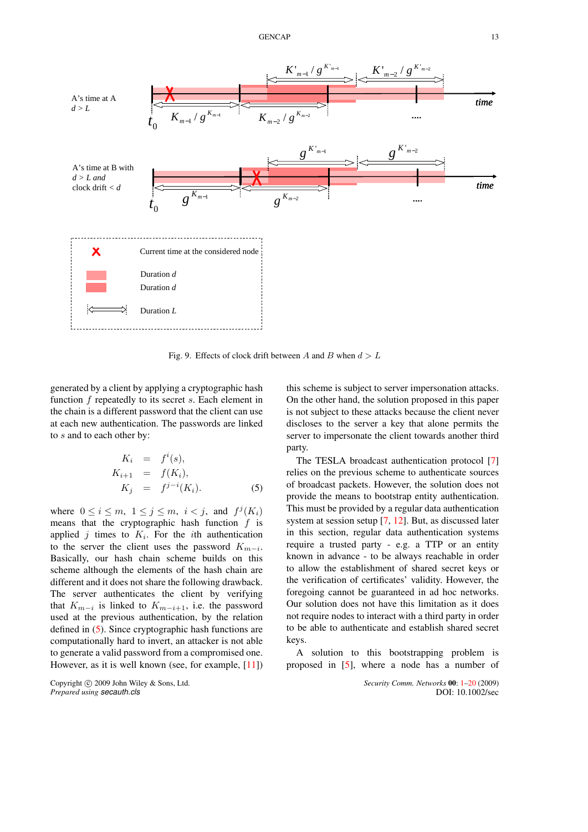<span id="page-12-0"></span>

Fig. 9. Effects of clock drift between A and B when  $d > L$ 

generated by a client by applying a cryptographic hash function  $f$  repeatedly to its secret  $s$ . Each element in the chain is a different password that the client can use at each new authentication. The passwords are linked to  $s$  and to each other by:

<span id="page-12-1"></span>
$$
K_i = f^i(s),
$$
  
\n
$$
K_{i+1} = f(K_i),
$$
  
\n
$$
K_j = f^{j-i}(K_i).
$$
\n(5)

where  $0 \le i \le m$ ,  $1 \le j \le m$ ,  $i < j$ , and  $f^j(K_i)$ means that the cryptographic hash function  $f$  is applied  $j$  times to  $K_i$ . For the *i*th authentication to the server the client uses the password  $K_{m-i}$ . Basically, our hash chain scheme builds on this scheme although the elements of the hash chain are different and it does not share the following drawback. The server authenticates the client by verifying that  $K_{m-i}$  is linked to  $K_{m-i+1}$ , i.e. the password used at the previous authentication, by the relation defined in [\(5\)](#page-12-1). Since cryptographic hash functions are computationally hard to invert, an attacker is not able to generate a valid password from a compromised one. However, as it is well known (see, for example, [\[11\]](#page-18-10)) this scheme is subject to server impersonation attacks. On the other hand, the solution proposed in this paper is not subject to these attacks because the client never discloses to the server a key that alone permits the server to impersonate the client towards another third party.

The TESLA broadcast authentication protocol [\[7\]](#page-18-6) relies on the previous scheme to authenticate sources of broadcast packets. However, the solution does not provide the means to bootstrap entity authentication. This must be provided by a regular data authentication system at session setup [\[7,](#page-18-6) [12\]](#page-18-11). But, as discussed later in this section, regular data authentication systems require a trusted party - e.g. a TTP or an entity known in advance - to be always reachable in order to allow the establishment of shared secret keys or the verification of certificates' validity. However, the foregoing cannot be guaranteed in ad hoc networks. Our solution does not have this limitation as it does not require nodes to interact with a third party in order to be able to authenticate and establish shared secret keys.

A solution to this bootstrapping problem is proposed in [\[5\]](#page-18-4), where a node has a number of

Copyright  $\odot$  2009 John Wiley & Sons, Ltd. *Prepared using secauth.cls*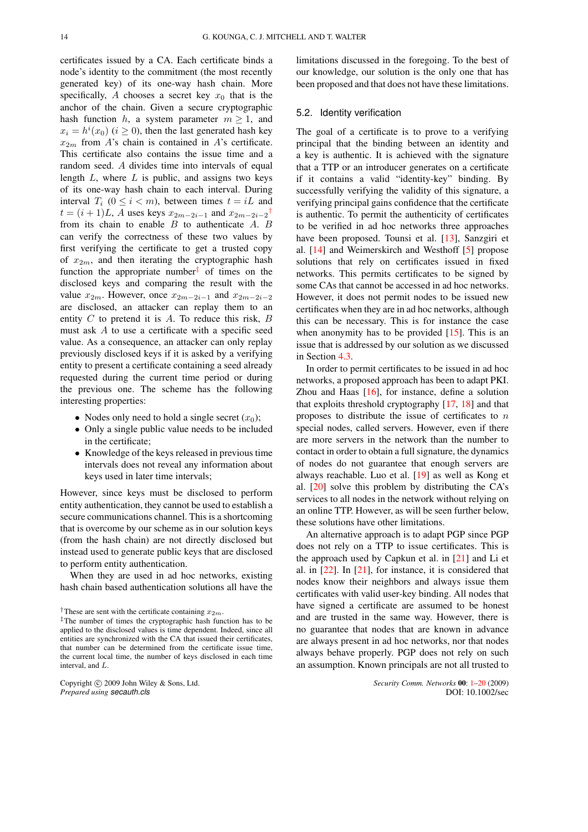certificates issued by a CA. Each certificate binds a node's identity to the commitment (the most recently generated key) of its one-way hash chain. More specifically, A chooses a secret key  $x_0$  that is the anchor of the chain. Given a secure cryptographic hash function h, a system parameter  $m > 1$ , and  $x_i = h^i(x_0)$  ( $i \ge 0$ ), then the last generated hash key  $x_{2m}$  from A's chain is contained in A's certificate. This certificate also contains the issue time and a random seed. A divides time into intervals of equal length  $L$ , where  $L$  is public, and assigns two keys of its one-way hash chain to each interval. During interval  $T_i$  ( $0 \le i \le m$ ), between times  $t = iL$  and  $t = (i + 1)L$ , A uses keys  $x_{2m-2i-1}$  and  $x_{2m-2i-2}$ <sup>[†](#page-13-0)</sup> from its chain to enable  $B$  to authenticate  $A$ .  $B$ can verify the correctness of these two values by first verifying the certificate to get a trusted copy of  $x_{2m}$ , and then iterating the cryptographic hash function the appropriate number<sup> $\bar{i}$ </sup> of times on the disclosed keys and comparing the result with the value  $x_{2m}$ . However, once  $x_{2m-2i-1}$  and  $x_{2m-2i-2}$ are disclosed, an attacker can replay them to an entity  $C$  to pretend it is  $A$ . To reduce this risk,  $B$ must ask  $A$  to use a certificate with a specific seed value. As a consequence, an attacker can only replay previously disclosed keys if it is asked by a verifying entity to present a certificate containing a seed already requested during the current time period or during the previous one. The scheme has the following interesting properties:

- Nodes only need to hold a single secret  $(x_0)$ ;
- ∙ Only a single public value needs to be included in the certificate;
- ∙ Knowledge of the keys released in previous time intervals does not reveal any information about keys used in later time intervals;

However, since keys must be disclosed to perform entity authentication, they cannot be used to establish a secure communications channel. This is a shortcoming that is overcome by our scheme as in our solution keys (from the hash chain) are not directly disclosed but instead used to generate public keys that are disclosed to perform entity authentication.

When they are used in ad hoc networks, existing hash chain based authentication solutions all have the

limitations discussed in the foregoing. To the best of our knowledge, our solution is the only one that has been proposed and that does not have these limitations.

#### 5.2. Identity verification

The goal of a certificate is to prove to a verifying principal that the binding between an identity and a key is authentic. It is achieved with the signature that a TTP or an introducer generates on a certificate if it contains a valid "identity-key" binding. By successfully verifying the validity of this signature, a verifying principal gains confidence that the certificate is authentic. To permit the authenticity of certificates to be verified in ad hoc networks three approaches have been proposed. Tounsi et al. [\[13\]](#page-18-12), Sanzgiri et al. [\[14\]](#page-18-13) and Weimerskirch and Westhoff [\[5\]](#page-18-4) propose solutions that rely on certificates issued in fixed networks. This permits certificates to be signed by some CAs that cannot be accessed in ad hoc networks. However, it does not permit nodes to be issued new certificates when they are in ad hoc networks, although this can be necessary. This is for instance the case when anonymity has to be provided  $[15]$ . This is an issue that is addressed by our solution as we discussed in Section [4.3.](#page-8-2)

In order to permit certificates to be issued in ad hoc networks, a proposed approach has been to adapt PKI. Zhou and Haas  $[16]$ , for instance, define a solution that exploits threshold cryptography [\[17,](#page-18-16) [18\]](#page-18-17) and that proposes to distribute the issue of certificates to  $n$ special nodes, called servers. However, even if there are more servers in the network than the number to contact in order to obtain a full signature, the dynamics of nodes do not guarantee that enough servers are always reachable. Luo et al. [\[19\]](#page-18-18) as well as Kong et al. [\[20\]](#page-18-19) solve this problem by distributing the CA's services to all nodes in the network without relying on an online TTP. However, as will be seen further below, these solutions have other limitations.

An alternative approach is to adapt PGP since PGP does not rely on a TTP to issue certificates. This is the approach used by Capkun et al. in  $[21]$  and Li et al. in [\[22\]](#page-18-21). In [\[21\]](#page-18-20), for instance, it is considered that nodes know their neighbors and always issue them certificates with valid user-key binding. All nodes that have signed a certificate are assumed to be honest and are trusted in the same way. However, there is no guarantee that nodes that are known in advance are always present in ad hoc networks, nor that nodes always behave properly. PGP does not rely on such an assumption. Known principals are not all trusted to

<span id="page-13-0"></span><sup>&</sup>lt;sup>†</sup>These are sent with the certificate containing  $x_{2m}$ .

<span id="page-13-1"></span><sup>‡</sup>The number of times the cryptographic hash function has to be applied to the disclosed values is time dependent. Indeed, since all entities are synchronized with the CA that issued their certificates, that number can be determined from the certificate issue time, the current local time, the number of keys disclosed in each time interval, and L.

Copyright  $\odot$  2009 John Wiley & Sons, Ltd. *Prepared using secauth.cls*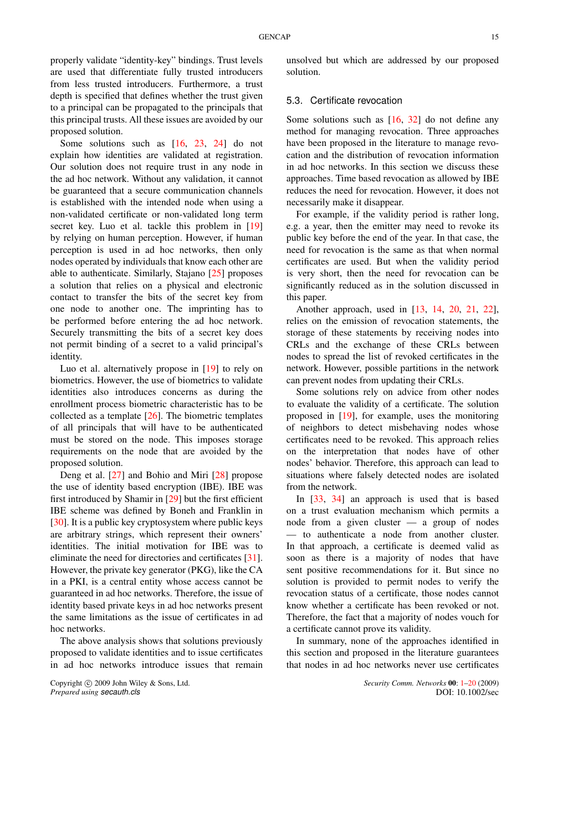properly validate "identity-key" bindings. Trust levels are used that differentiate fully trusted introducers from less trusted introducers. Furthermore, a trust depth is specified that defines whether the trust given to a principal can be propagated to the principals that this principal trusts. All these issues are avoided by our proposed solution.

Some solutions such as  $[16, 23, 24]$  $[16, 23, 24]$  $[16, 23, 24]$  $[16, 23, 24]$  $[16, 23, 24]$  do not explain how identities are validated at registration. Our solution does not require trust in any node in the ad hoc network. Without any validation, it cannot be guaranteed that a secure communication channels is established with the intended node when using a non-validated certificate or non-validated long term secret key. Luo et al. tackle this problem in [\[19\]](#page-18-18) by relying on human perception. However, if human perception is used in ad hoc networks, then only nodes operated by individuals that know each other are able to authenticate. Similarly, Stajano [\[25\]](#page-18-24) proposes a solution that relies on a physical and electronic contact to transfer the bits of the secret key from one node to another one. The imprinting has to be performed before entering the ad hoc network. Securely transmitting the bits of a secret key does not permit binding of a secret to a valid principal's identity.

Luo et al. alternatively propose in [\[19\]](#page-18-18) to rely on biometrics. However, the use of biometrics to validate identities also introduces concerns as during the enrollment process biometric characteristic has to be collected as a template [\[26\]](#page-18-25). The biometric templates of all principals that will have to be authenticated must be stored on the node. This imposes storage requirements on the node that are avoided by the proposed solution.

Deng et al. [\[27\]](#page-18-26) and Bohio and Miri [\[28\]](#page-18-27) propose the use of identity based encryption (IBE). IBE was first introduced by Shamir in [\[29\]](#page-18-28) but the first efficient IBE scheme was defined by Boneh and Franklin in [\[30\]](#page-19-0). It is a public key cryptosystem where public keys are arbitrary strings, which represent their owners' identities. The initial motivation for IBE was to eliminate the need for directories and certificates [\[31\]](#page-19-1). However, the private key generator (PKG), like the CA in a PKI, is a central entity whose access cannot be guaranteed in ad hoc networks. Therefore, the issue of identity based private keys in ad hoc networks present the same limitations as the issue of certificates in ad hoc networks.

The above analysis shows that solutions previously proposed to validate identities and to issue certificates in ad hoc networks introduce issues that remain unsolved but which are addressed by our proposed solution.

#### 5.3. Certificate revocation

Some solutions such as [\[16,](#page-18-15) [32\]](#page-19-2) do not define any method for managing revocation. Three approaches have been proposed in the literature to manage revocation and the distribution of revocation information in ad hoc networks. In this section we discuss these approaches. Time based revocation as allowed by IBE reduces the need for revocation. However, it does not necessarily make it disappear.

For example, if the validity period is rather long, e.g. a year, then the emitter may need to revoke its public key before the end of the year. In that case, the need for revocation is the same as that when normal certificates are used. But when the validity period is very short, then the need for revocation can be significantly reduced as in the solution discussed in this paper.

Another approach, used in [\[13,](#page-18-12) [14,](#page-18-13) [20,](#page-18-19) [21,](#page-18-20) [22\]](#page-18-21), relies on the emission of revocation statements, the storage of these statements by receiving nodes into CRLs and the exchange of these CRLs between nodes to spread the list of revoked certificates in the network. However, possible partitions in the network can prevent nodes from updating their CRLs.

Some solutions rely on advice from other nodes to evaluate the validity of a certificate. The solution proposed in [\[19\]](#page-18-18), for example, uses the monitoring of neighbors to detect misbehaving nodes whose certificates need to be revoked. This approach relies on the interpretation that nodes have of other nodes' behavior. Therefore, this approach can lead to situations where falsely detected nodes are isolated from the network.

In [\[33,](#page-19-3) [34\]](#page-19-4) an approach is used that is based on a trust evaluation mechanism which permits a node from a given cluster — a group of nodes — to authenticate a node from another cluster. In that approach, a certificate is deemed valid as soon as there is a majority of nodes that have sent positive recommendations for it. But since no solution is provided to permit nodes to verify the revocation status of a certificate, those nodes cannot know whether a certificate has been revoked or not. Therefore, the fact that a majority of nodes vouch for a certificate cannot prove its validity.

In summary, none of the approaches identified in this section and proposed in the literature guarantees that nodes in ad hoc networks never use certificates

Copyright  $\odot$  2009 John Wiley & Sons, Ltd. *Prepared using secauth.cls*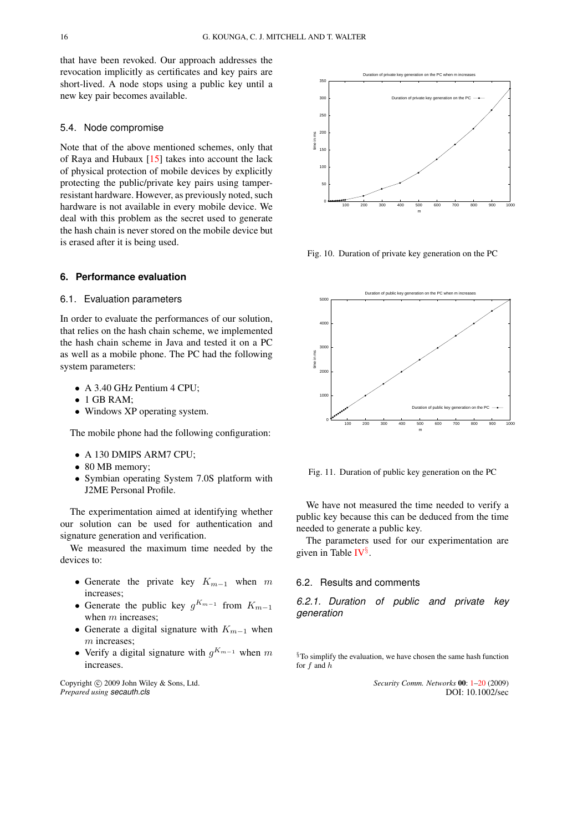that have been revoked. Our approach addresses the revocation implicitly as certificates and key pairs are short-lived. A node stops using a public key until a new key pair becomes available.

### 5.4. Node compromise

Note that of the above mentioned schemes, only that of Raya and Hubaux [\[15\]](#page-18-14) takes into account the lack of physical protection of mobile devices by explicitly protecting the public/private key pairs using tamperresistant hardware. However, as previously noted, such hardware is not available in every mobile device. We deal with this problem as the secret used to generate the hash chain is never stored on the mobile device but is erased after it is being used.

## <span id="page-15-0"></span>**6. Performance evaluation**

#### 6.1. Evaluation parameters

In order to evaluate the performances of our solution, that relies on the hash chain scheme, we implemented the hash chain scheme in Java and tested it on a PC as well as a mobile phone. The PC had the following system parameters:

- ∙ A 3.40 GHz Pentium 4 CPU;
- ∙ 1 GB RAM;
- ∙ Windows XP operating system.

The mobile phone had the following configuration:

- ∙ A 130 DMIPS ARM7 CPU;
- ∙ 80 MB memory;
- ∙ Symbian operating System 7.0S platform with J2ME Personal Profile.

The experimentation aimed at identifying whether our solution can be used for authentication and signature generation and verification.

We measured the maximum time needed by the devices to:

- Generate the private key  $K_{m-1}$  when  $m$ increases;
- Generate the public key  $g^{K_{m-1}}$  from  $K_{m-1}$ when  $m$  increases;
- Generate a digital signature with  $K_{m-1}$  when  $m$  increases;
- Verify a digital signature with  $g^{K_{m-1}}$  when m increases.

Copyright  $\odot$  2009 John Wiley & Sons, Ltd. *Prepared using secauth.cls*

<span id="page-15-2"></span>

Fig. 10. Duration of private key generation on the PC



Fig. 11. Duration of public key generation on the PC

We have not measured the time needed to verify a public key because this can be deduced from the time needed to generate a public key.

The parameters used for our experimentation are given in Table [IV](#page-21-1)<sup>[§](#page-15-1)</sup>.

#### 6.2. Results and comments

*6.2.1. Duration of public and private key generation*

<span id="page-15-1"></span>§To simplify the evaluation, we have chosen the same hash function for  $f$  and  $h$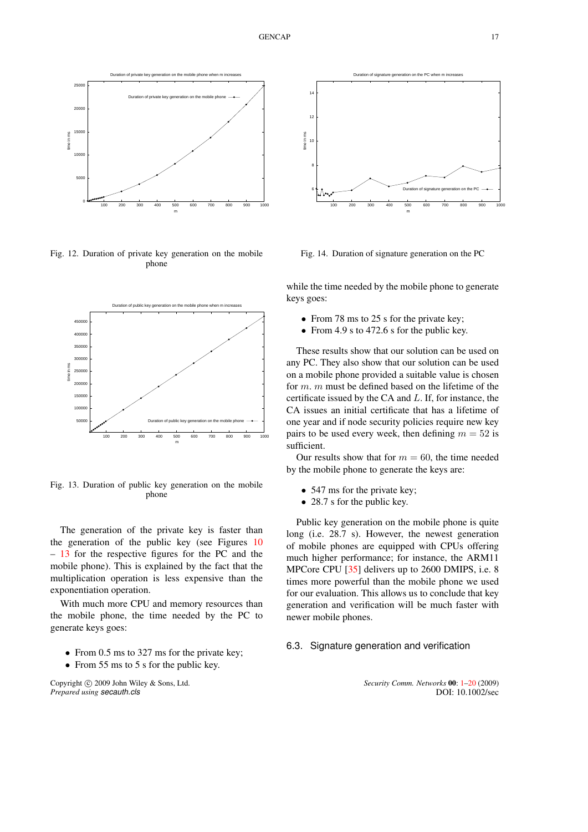

Fig. 12. Duration of private key generation on the mobile phone

<span id="page-16-0"></span>

Fig. 13. Duration of public key generation on the mobile phone

The generation of the private key is faster than the generation of the public key (see Figures [10](#page-15-2) – [13](#page-16-0) for the respective figures for the PC and the mobile phone). This is explained by the fact that the multiplication operation is less expensive than the exponentiation operation.

With much more CPU and memory resources than the mobile phone, the time needed by the PC to generate keys goes:

- ∙ From 0.5 ms to 327 ms for the private key;
- ∙ From 55 ms to 5 s for the public key.

Copyright  $\odot$  2009 John Wiley & Sons, Ltd. *Prepared using secauth.cls*

<span id="page-16-1"></span>

Fig. 14. Duration of signature generation on the PC

while the time needed by the mobile phone to generate keys goes:

- ∙ From 78 ms to 25 s for the private key;
- ∙ From 4.9 s to 472.6 s for the public key.

These results show that our solution can be used on any PC. They also show that our solution can be used on a mobile phone provided a suitable value is chosen for  $m$ .  $m$  must be defined based on the lifetime of the certificate issued by the CA and  $L$ . If, for instance, the CA issues an initial certificate that has a lifetime of one year and if node security policies require new key pairs to be used every week, then defining  $m = 52$  is sufficient.

Our results show that for  $m = 60$ , the time needed by the mobile phone to generate the keys are:

- ∙ 547 ms for the private key;
- ∙ 28.7 s for the public key.

Public key generation on the mobile phone is quite long (i.e. 28.7 s). However, the newest generation of mobile phones are equipped with CPUs offering much higher performance; for instance, the ARM11 MPCore CPU [\[35\]](#page-19-5) delivers up to 2600 DMIPS, i.e. 8 times more powerful than the mobile phone we used for our evaluation. This allows us to conclude that key generation and verification will be much faster with newer mobile phones.

#### 6.3. Signature generation and verification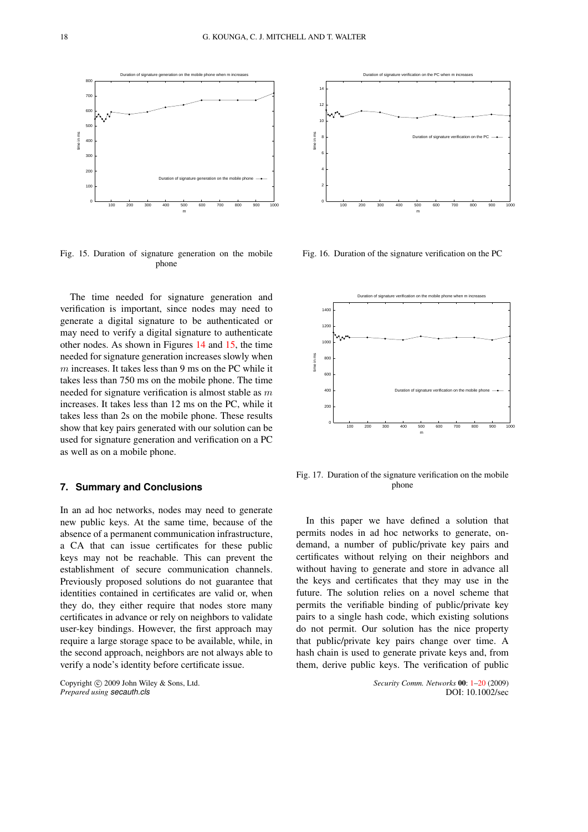<span id="page-17-1"></span>

Fig. 15. Duration of signature generation on the mobile phone

The time needed for signature generation and verification is important, since nodes may need to generate a digital signature to be authenticated or may need to verify a digital signature to authenticate other nodes. As shown in Figures [14](#page-16-1) and [15,](#page-17-1) the time needed for signature generation increases slowly when  $m$  increases. It takes less than 9 ms on the PC while it takes less than 750 ms on the mobile phone. The time needed for signature verification is almost stable as  $m$ increases. It takes less than 12 ms on the PC, while it takes less than 2s on the mobile phone. These results show that key pairs generated with our solution can be used for signature generation and verification on a PC as well as on a mobile phone.

#### <span id="page-17-0"></span>**7. Summary and Conclusions**

In an ad hoc networks, nodes may need to generate new public keys. At the same time, because of the absence of a permanent communication infrastructure, a CA that can issue certificates for these public keys may not be reachable. This can prevent the establishment of secure communication channels. Previously proposed solutions do not guarantee that identities contained in certificates are valid or, when they do, they either require that nodes store many certificates in advance or rely on neighbors to validate user-key bindings. However, the first approach may require a large storage space to be available, while, in the second approach, neighbors are not always able to verify a node's identity before certificate issue.



Fig. 16. Duration of the signature verification on the PC



Fig. 17. Duration of the signature verification on the mobile phone

In this paper we have defined a solution that permits nodes in ad hoc networks to generate, ondemand, a number of public/private key pairs and certificates without relying on their neighbors and without having to generate and store in advance all the keys and certificates that they may use in the future. The solution relies on a novel scheme that permits the verifiable binding of public/private key pairs to a single hash code, which existing solutions do not permit. Our solution has the nice property that public/private key pairs change over time. A hash chain is used to generate private keys and, from them, derive public keys. The verification of public

Copyright  $\odot$  2009 John Wiley & Sons, Ltd. *Prepared using secauth.cls*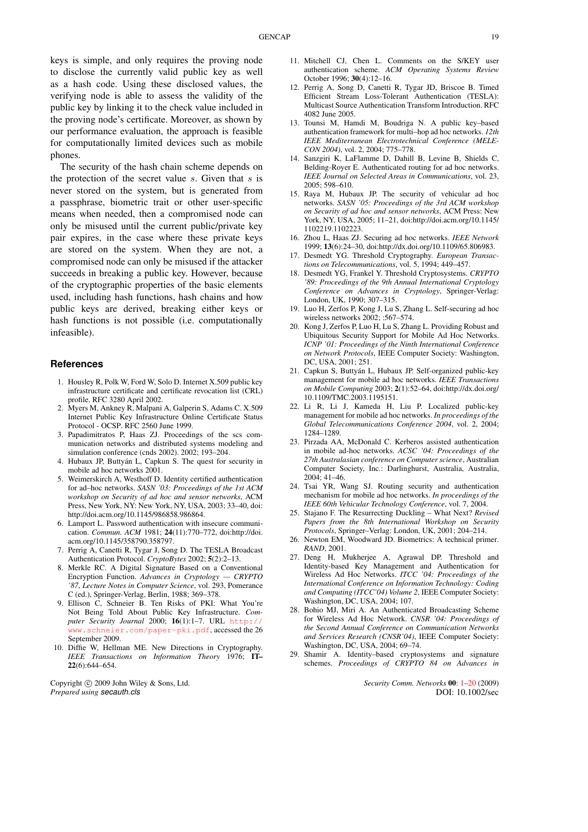keys is simple, and only requires the proving node to disclose the currently valid public key as well as a hash code. Using these disclosed values, the verifying node is able to assess the validity of the public key by linking it to the check value included in the proving node's certificate. Moreover, as shown by our performance evaluation, the approach is feasible for computationally limited devices such as mobile phones.

The security of the hash chain scheme depends on the protection of the secret value  $s$ . Given that  $s$  is never stored on the system, but is generated from a passphrase, biometric trait or other user-specific means when needed, then a compromised node can only be misused until the current public/private key pair expires, in the case where these private keys are stored on the system. When they are not, a compromised node can only be misused if the attacker succeeds in breaking a public key. However, because of the cryptographic properties of the basic elements used, including hash functions, hash chains and how public keys are derived, breaking either keys or hash functions is not possible (i.e. computationally infeasible).

#### **References**

- <span id="page-18-0"></span>1. Housley R, Polk W, Ford W, Solo D. Internet X.509 public key infrastructure certificate and certificate revocation list (CRL) profile. RFC 3280 April 2002.
- <span id="page-18-1"></span>2. Myers M, Ankney R, Malpani A, Galperin S, Adams C. X.509 Internet Public Key Infrastructure Online Certificate Status Protocol - OCSP. RFC 2560 June 1999.
- <span id="page-18-2"></span>3. Papadimitratos P, Haas ZJ. Proceedings of the scs communication networks and distributed systems modeling and simulation conference (cnds 2002). 2002; 193–204.
- <span id="page-18-3"></span>4. Hubaux JP, Buttyán L, Capkun S. The quest for security in mobile ad hoc networks 2001.
- <span id="page-18-4"></span>5. Weimerskirch A, Westhoff D. Identity certified authentication for ad–hoc networks. *SASN '03: Proceedings of the 1st ACM workshop on Security of ad hoc and sensor networks*, ACM Press, New York, NY: New York, NY, USA, 2003; 33–40, doi: http://doi.acm.org/10.1145/986858.986864.
- <span id="page-18-5"></span>6. Lamport L. Password authentication with insecure communication. *Commun. ACM* 1981; 24(11):770–772, doi:http://doi. acm.org/10.1145/358790.358797.
- <span id="page-18-6"></span>7. Perrig A, Canetti R, Tygar J, Song D. The TESLA Broadcast Authentication Protocol. *CryptoBytes* 2002; 5(2):2–13.
- <span id="page-18-7"></span>8. Merkle RC. A Digital Signature Based on a Conventional Encryption Function. *Advances in Cryptology — CRYPTO '87*, *Lecture Notes in Computer Science*, vol. 293, Pomerance C (ed.), Springer-Verlag, Berlin, 1988; 369–378.
- <span id="page-18-8"></span>9. Ellison C, Schneier B. Ten Risks of PKI: What You're Not Being Told About Public Key Infrastructure. *Computer Security Journal* 2000; 16(1):1–7. URL [http://](http://www.schneier.com/paper-pki.pdf) [www.schneier.com/paper-pki.pdf](http://www.schneier.com/paper-pki.pdf), accessed the 26 September 2009.
- <span id="page-18-9"></span>10. Diffie W, Hellman ME. New Directions in Cryptography. *IEEE Transactions on Information Theory* 1976; IT– 22(6):644–654.

Copyright  $\odot$  2009 John Wiley & Sons, Ltd. *Prepared using secauth.cls*

- <span id="page-18-10"></span>11. Mitchell CJ, Chen L. Comments on the S/KEY user authentication scheme. *ACM Operating Systems Review* October 1996; 30(4):12–16.
- <span id="page-18-11"></span>12. Perrig A, Song D, Canetti R, Tygar JD, Briscoe B. Timed Efficient Stream Loss-Tolerant Authentication (TESLA): Multicast Source Authentication Transform Introduction. RFC 4082 June 2005.
- <span id="page-18-12"></span>13. Tounsi M, Hamdi M, Boudriga N. A public key–based authentication framework for multi–hop ad hoc networks. *12th IEEE Mediterranean Electrotechnical Conference (MELE-CON 2004)*, vol. 2, 2004; 775–778.
- <span id="page-18-13"></span>14. Sanzgiri K, LaFlamme D, Dahill B, Levine B, Shields C, Belding-Royer E. Authenticated routing for ad hoc networks. *IEEE Journal on Selected Areas in Communications*, vol. 23, 2005; 598–610.
- <span id="page-18-14"></span>15. Raya M, Hubaux JP. The security of vehicular ad hoc networks. *SASN '05: Proceedings of the 3rd ACM workshop on Security of ad hoc and sensor networks*, ACM Press: New York, NY, USA, 2005; 11–21, doi:http://doi.acm.org/10.1145/ 1102219.1102223.
- <span id="page-18-15"></span>16. Zhou L, Haas ZJ. Securing ad hoc networks. *IEEE Network* 1999; 13(6):24–30, doi:http://dx.doi.org/10.1109/65.806983.
- <span id="page-18-16"></span>17. Desmedt YG. Threshold Cryptography. *European Transactions on Telecommunications*, vol. 5, 1994; 449–457.
- <span id="page-18-17"></span>18. Desmedt YG, Frankel Y. Threshold Cryptosystems. *CRYPTO '89: Proceedings of the 9th Annual International Cryptology Conference on Advances in Cryptology*, Springer-Verlag: London, UK, 1990; 307–315.
- <span id="page-18-18"></span>19. Luo H, Zerfos P, Kong J, Lu S, Zhang L. Self-securing ad hoc wireless networks 2002; :567–574.
- <span id="page-18-19"></span>20. Kong J, Zerfos P, Luo H, Lu S, Zhang L. Providing Robust and Ubiquitous Security Support for Mobile Ad Hoc Networks. *ICNP '01: Proceedings of the Ninth International Conference on Network Protocols*, IEEE Computer Society: Washington, DC, USA, 2001; 251.
- <span id="page-18-20"></span>21. Capkun S, Buttyán L, Hubaux JP. Self-organized public-key management for mobile ad hoc networks. *IEEE Transactions on Mobile Computing* 2003; 2(1):52–64, doi:http://dx.doi.org/ 10.1109/TMC.2003.1195151.
- <span id="page-18-21"></span>22. Li R, Li J, Kameda H, Liu P. Localized public-key management for mobile ad hoc networks. *In proceedings of the Global Telecommunications Conference 2004*, vol. 2, 2004; 1284–1289.
- <span id="page-18-22"></span>23. Pirzada AA, McDonald C. Kerberos assisted authentication in mobile ad-hoc networks. *ACSC '04: Proceedings of the 27th Australasian conference on Computer science*, Australian Computer Society, Inc.: Darlinghurst, Australia, Australia, 2004; 41–46.
- <span id="page-18-23"></span>24. Tsai YR, Wang SJ. Routing security and authentication mechanism for mobile ad hoc networks. *In proceedings of the IEEE 60th Vehicular Technology Conference*, vol. 7, 2004.
- <span id="page-18-24"></span>25. Stajano F. The Resurrecting Duckling – What Next? *Revised Papers from the 8th International Workshop on Security Protocols*, Springer–Verlag: London, UK, 2001; 204–214.
- <span id="page-18-25"></span>26. Newton EM, Woodward JD. Biometrics: A technical primer. *RAND*, 2001.
- <span id="page-18-26"></span>27. Deng H, Mukherjee A, Agrawal DP. Threshold and Identity-based Key Management and Authentication for Wireless Ad Hoc Networks. *ITCC '04: Proceedings of the International Conference on Information Technology: Coding and Computing (ITCC'04) Volume 2*, IEEE Computer Society: Washington, DC, USA, 2004; 107.
- <span id="page-18-27"></span>28. Bohio MJ, Miri A. An Authenticated Broadcasting Scheme for Wireless Ad Hoc Network. *CNSR '04: Proceedings of the Second Annual Conference on Communication Networks and Services Research (CNSR'04)*, IEEE Computer Society: Washington, DC, USA, 2004; 69–74.
- <span id="page-18-28"></span>29. Shamir A. Identity–based cryptosystems and signature schemes. *Proceedings of CRYPTO 84 on Advances in*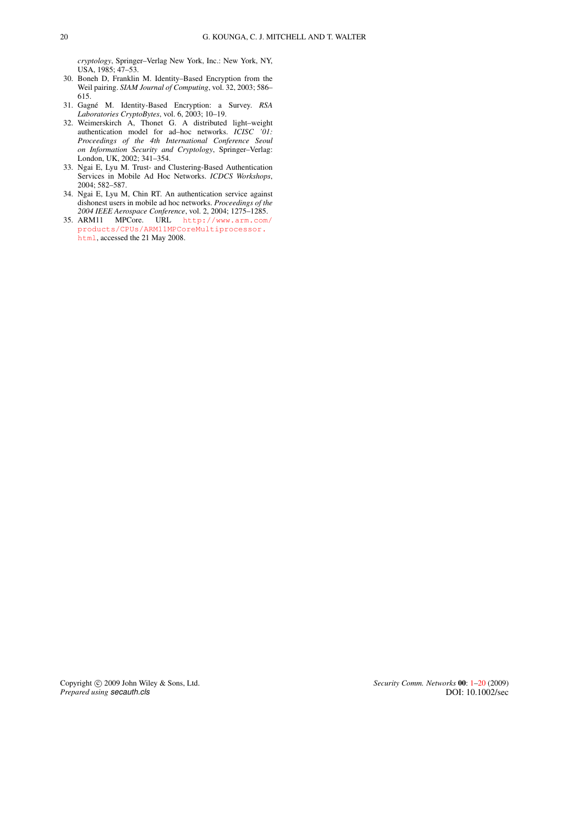*cryptology*, Springer–Verlag New York, Inc.: New York, NY, USA, 1985; 47–53.

- <span id="page-19-0"></span>30. Boneh D, Franklin M. Identity–Based Encryption from the Weil pairing. *SIAM Journal of Computing*, vol. 32, 2003; 586– 615.
- <span id="page-19-1"></span>31. Gagné M. Identity-Based Encryption: a Survey.  $RSA$ *Laboratories CryptoBytes*, vol. 6, 2003; 10–19.
- <span id="page-19-2"></span>32. Weimerskirch A, Thonet G. A distributed light–weight authentication model for ad–hoc networks. *ICISC '01: Proceedings of the 4th International Conference Seoul on Information Security and Cryptology*, Springer–Verlag: London, UK, 2002; 341–354.
- <span id="page-19-3"></span>33. Ngai E, Lyu M. Trust- and Clustering-Based Authentication Services in Mobile Ad Hoc Networks. *ICDCS Workshops*, 2004; 582–587.
- <span id="page-19-4"></span>34. Ngai E, Lyu M, Chin RT. An authentication service against dishonest users in mobile ad hoc networks. *Proceedings of the 2004 IEEE Aerospace Conference*, vol. 2, 2004; 1275–1285.
- <span id="page-19-5"></span>35. ARM11 MPCore. URL [http://www.arm.com/](http://www.arm.com/products/CPUs/ARM11MPCoreMultiprocessor.html) [products/CPUs/ARM11MPCoreMultiprocessor.](http://www.arm.com/products/CPUs/ARM11MPCoreMultiprocessor.html) [html](http://www.arm.com/products/CPUs/ARM11MPCoreMultiprocessor.html), accessed the 21 May 2008.

Copyright  $\odot$  2009 John Wiley & Sons, Ltd. *Prepared using secauth.cls*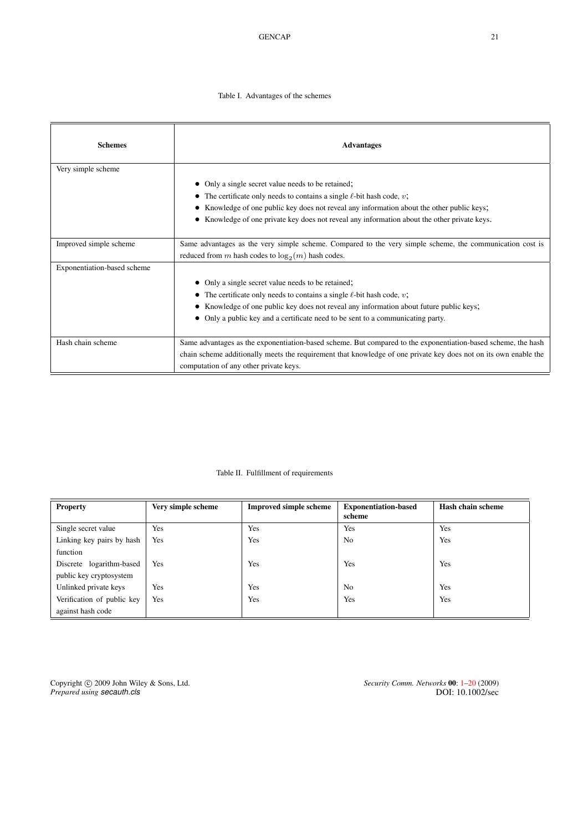Table I. Advantages of the schemes

<span id="page-20-1"></span>

| <b>Schemes</b>              | <b>Advantages</b>                                                                                                |
|-----------------------------|------------------------------------------------------------------------------------------------------------------|
| Very simple scheme          |                                                                                                                  |
|                             | • Only a single secret value needs to be retained;                                                               |
|                             | The certificate only needs to contains a single $\ell$ -bit hash code, v;                                        |
|                             | Knowledge of one public key does not reveal any information about the other public keys;                         |
|                             | • Knowledge of one private key does not reveal any information about the other private keys.                     |
|                             |                                                                                                                  |
| Improved simple scheme      | Same advantages as the very simple scheme. Compared to the very simple scheme, the communication cost is         |
|                             | reduced from m hash codes to $\log_2(m)$ hash codes.                                                             |
| Exponentiation-based scheme |                                                                                                                  |
|                             | • Only a single secret value needs to be retained;                                                               |
|                             | The certificate only needs to contains a single $\ell$ -bit hash code, v;                                        |
|                             | • Knowledge of one public key does not reveal any information about future public keys;                          |
|                             | • Only a public key and a certificate need to be sent to a communicating party.                                  |
|                             |                                                                                                                  |
| Hash chain scheme           | Same advantages as the exponentiation-based scheme. But compared to the exponentiation-based scheme, the hash    |
|                             | chain scheme additionally meets the requirement that knowledge of one private key does not on its own enable the |
|                             | computation of any other private keys.                                                                           |

## Table II. Fulfillment of requirements

<span id="page-20-0"></span>

| <b>Property</b>            | Very simple scheme | <b>Improved simple scheme</b> | <b>Exponentiation-based</b> | <b>Hash chain scheme</b> |
|----------------------------|--------------------|-------------------------------|-----------------------------|--------------------------|
|                            |                    |                               | scheme                      |                          |
| Single secret value        | Yes                | Yes                           | Yes                         | Yes                      |
| Linking key pairs by hash  | Yes                | Yes                           | N <sub>0</sub>              | Yes                      |
| function                   |                    |                               |                             |                          |
| Discrete logarithm-based   | Yes                | Yes                           | Yes                         | Yes                      |
| public key cryptosystem    |                    |                               |                             |                          |
| Unlinked private keys      | Yes                | Yes                           | N <sub>0</sub>              | Yes                      |
| Verification of public key | Yes                | Yes                           | Yes                         | Yes                      |
| against hash code          |                    |                               |                             |                          |

Copyright  $\odot$  2009 John Wiley & Sons, Ltd. *Prepared using secauth.cls*